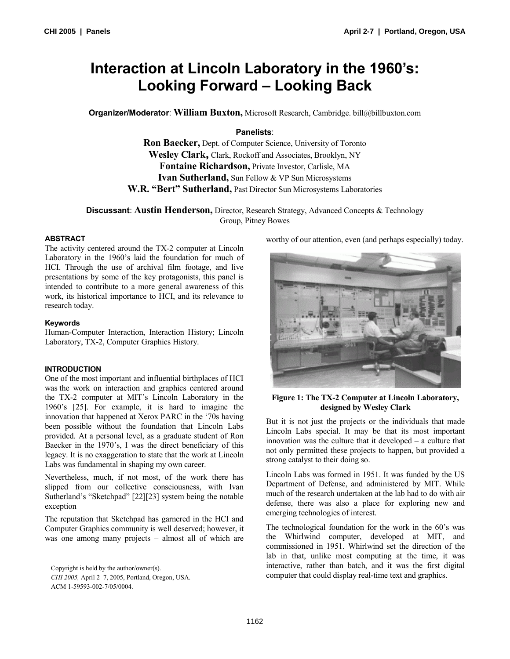# **Interaction at Lincoln Laboratory in the 1960's: Looking Forward – Looking Back**

**Organizer/Moderator**: **William Buxton,** Microsoft Research, Cambridge. bill@billbuxton.com

# **Panelists**:

**Ron Baecker,** Dept. of Computer Science, University of Toronto **Wesley Clark,** Clark, Rockoff and Associates, Brooklyn, NY **Fontaine Richardson,** Private Investor, Carlisle, MA **Ivan Sutherland,** Sun Fellow & VP Sun Microsystems **W.R. "Bert" Sutherland,** Past Director Sun Microsystems Laboratories

**Discussant**: **Austin Henderson,** Director, Research Strategy, Advanced Concepts & Technology Group, Pitney Bowes

# **ABSTRACT**

The activity centered around the TX-2 computer at Lincoln Laboratory in the 1960's laid the foundation for much of HCI. Through the use of archival film footage, and live presentations by some of the key protagonists, this panel is intended to contribute to a more general awareness of this work, its historical importance to HCI, and its relevance to research today.

# **Keywords**

Human-Computer Interaction, Interaction History; Lincoln Laboratory, TX-2, Computer Graphics History.

# **INTRODUCTION**

One of the most important and influential birthplaces of HCI was the work on interaction and graphics centered around the TX-2 computer at MIT's Lincoln Laboratory in the 1960's [25]. For example, it is hard to imagine the innovation that happened at Xerox PARC in the '70s having been possible without the foundation that Lincoln Labs provided. At a personal level, as a graduate student of Ron Baecker in the 1970's, I was the direct beneficiary of this legacy. It is no exaggeration to state that the work at Lincoln Labs was fundamental in shaping my own career.

Nevertheless, much, if not most, of the work there has slipped from our collective consciousness, with Ivan Sutherland's "Sketchpad" [22][23] system being the notable exception

The reputation that Sketchpad has garnered in the HCI and Computer Graphics community is well deserved; however, it was one among many projects – almost all of which are

Copyright is held by the author/owner(s).

*CHI 2005,* April 2–7, 2005, Portland, Oregon, USA. ACM 1-59593-002-7/05/0004.

worthy of our attention, even (and perhaps especially) today.



### **Figure 1: The TX-2 Computer at Lincoln Laboratory, designed by Wesley Clark**

But it is not just the projects or the individuals that made Lincoln Labs special. It may be that its most important innovation was the culture that it developed – a culture that not only permitted these projects to happen, but provided a strong catalyst to their doing so.

Lincoln Labs was formed in 1951. It was funded by the US Department of Defense, and administered by MIT. While much of the research undertaken at the lab had to do with air defense, there was also a place for exploring new and emerging technologies of interest.

The technological foundation for the work in the 60's was the Whirlwind computer, developed at MIT, and commissioned in 1951. Whirlwind set the direction of the lab in that, unlike most computing at the time, it was interactive, rather than batch, and it was the first digital computer that could display real-time text and graphics.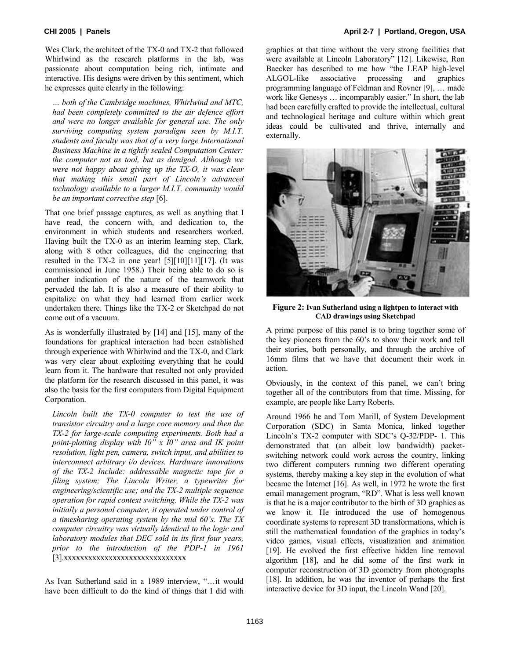Wes Clark, the architect of the TX-0 and TX-2 that followed Whirlwind as the research platforms in the lab, was passionate about computation being rich, intimate and interactive. His designs were driven by this sentiment, which he expresses quite clearly in the following:

*… both of the Cambridge machines, Whirlwind and MTC, had been completely committed to the air defence effort and were no longer available for general use. The only surviving computing system paradigm seen by M.I.T. students and faculty was that of a very large International Business Machine in a tightly sealed Computation Center: the computer not as tool, but as demigod. Although we were not happy about giving up the TX-O, it was clear that making this small part of Lincoln's advanced technology available to a larger M.I.T. community would be an important corrective step* [6].

That one brief passage captures, as well as anything that I have read, the concern with, and dedication to, the environment in which students and researchers worked. Having built the TX-0 as an interim learning step, Clark, along with 8 other colleagues, did the engineering that resulted in the TX-2 in one year! [5][10][11][17]. (It was commissioned in June 1958.) Their being able to do so is another indication of the nature of the teamwork that pervaded the lab. It is also a measure of their ability to capitalize on what they had learned from earlier work undertaken there. Things like the TX-2 or Sketchpad do not come out of a vacuum.

As is wonderfully illustrated by [14] and [15], many of the foundations for graphical interaction had been established through experience with Whirlwind and the TX-0, and Clark was very clear about exploiting everything that he could learn from it. The hardware that resulted not only provided the platform for the research discussed in this panel, it was also the basis for the first computers from Digital Equipment Corporation.

*Lincoln built the TX-0 computer to test the use of transistor circuitry and a large core memory and then the TX-2 for large-scale computing experiments. Both had a point-plotting display with I0" x I0" area and IK point resolution, light pen, camera, switch input, and abilities to interconnect arbitrary i/o devices. Hardware innovations of the TX-2 Include: addressable magnetic tape for a filing system; The Lincoln Writer, a typewriter for engineering/scientific use; and the TX-2 multiple sequence operation for rapid context switching. While the TX-2 was initially a personal computer, it operated under control of a timesharing operating system by the mid 60's. The TX computer circuitry was virtually identical to the logic and laboratory modules that DEC sold in its first four years, prior to the introduction of the PDP-1 in 1961*  [3].xxxxxxxxxxxxxxxxxxxxxxxxxxxxxx

As Ivan Sutherland said in a 1989 interview, "…it would have been difficult to do the kind of things that I did with

graphics at that time without the very strong facilities that were available at Lincoln Laboratory" [12]. Likewise, Ron Baecker has described to me how "the LEAP high-level ALGOL-like associative processing and graphics programming language of Feldman and Rovner [9], … made work like Genesys … incomparably easier." In short, the lab had been carefully crafted to provide the intellectual, cultural and technological heritage and culture within which great ideas could be cultivated and thrive, internally and externally.



**Figure 2: Ivan Sutherland using a lightpen to interact with CAD drawings using Sketchpad** 

A prime purpose of this panel is to bring together some of the key pioneers from the 60's to show their work and tell their stories, both personally, and through the archive of 16mm films that we have that document their work in action.

Obviously, in the context of this panel, we can't bring together all of the contributors from that time. Missing, for example, are people like Larry Roberts.

Around 1966 he and Tom Marill, of System Development Corporation (SDC) in Santa Monica, linked together Lincoln's TX-2 computer with SDC's Q-32/PDP- 1. This demonstrated that (an albeit low bandwidth) packetswitching network could work across the country, linking two different computers running two different operating systems, thereby making a key step in the evolution of what became the Internet [16]. As well, in 1972 he wrote the first email management program, "RD". What is less well known is that he is a major contributor to the birth of 3D graphics as we know it. He introduced the use of homogenous coordinate systems to represent 3D transformations, which is still the mathematical foundation of the graphics in today's video games, visual effects, visualization and animation [19]. He evolved the first effective hidden line removal algorithm [18], and he did some of the first work in computer reconstruction of 3D geometry from photographs [18]. In addition, he was the inventor of perhaps the first interactive device for 3D input, the Lincoln Wand [20].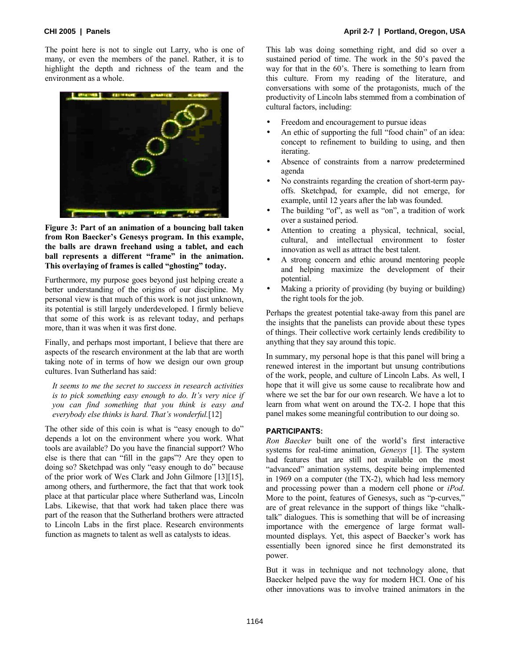The point here is not to single out Larry, who is one of many, or even the members of the panel. Rather, it is to highlight the depth and richness of the team and the environment as a whole.



**Figure 3: Part of an animation of a bouncing ball taken from Ron Baecker's Genesys program. In this example, the balls are drawn freehand using a tablet, and each ball represents a different "frame" in the animation. This overlaying of frames is called "ghosting" today.** 

Furthermore, my purpose goes beyond just helping create a better understanding of the origins of our discipline. My personal view is that much of this work is not just unknown, its potential is still largely underdeveloped. I firmly believe that some of this work is as relevant today, and perhaps more, than it was when it was first done.

Finally, and perhaps most important, I believe that there are aspects of the research environment at the lab that are worth taking note of in terms of how we design our own group cultures. Ivan Sutherland has said:

*It seems to me the secret to success in research activities is to pick something easy enough to do. It's very nice if you can find something that you think is easy and everybody else thinks is hard. That's wonderful.*[12]

The other side of this coin is what is "easy enough to do" depends a lot on the environment where you work. What tools are available? Do you have the financial support? Who else is there that can "fill in the gaps"? Are they open to doing so? Sketchpad was only "easy enough to do" because of the prior work of Wes Clark and John Gilmore [13][15], among others, and furthermore, the fact that that work took place at that particular place where Sutherland was, Lincoln Labs. Likewise, that that work had taken place there was part of the reason that the Sutherland brothers were attracted to Lincoln Labs in the first place. Research environments function as magnets to talent as well as catalysts to ideas.

This lab was doing something right, and did so over a sustained period of time. The work in the 50's paved the way for that in the 60's. There is something to learn from this culture. From my reading of the literature, and conversations with some of the protagonists, much of the productivity of Lincoln labs stemmed from a combination of cultural factors, including:

- Freedom and encouragement to pursue ideas
- An ethic of supporting the full "food chain" of an idea: concept to refinement to building to using, and then iterating.
- Absence of constraints from a narrow predetermined agenda
- No constraints regarding the creation of short-term payoffs. Sketchpad, for example, did not emerge, for example, until 12 years after the lab was founded.
- The building "of", as well as "on", a tradition of work over a sustained period.
- Attention to creating a physical, technical, social, cultural, and intellectual environment to foster innovation as well as attract the best talent.
- A strong concern and ethic around mentoring people and helping maximize the development of their potential.
- Making a priority of providing (by buying or building) the right tools for the job.

Perhaps the greatest potential take-away from this panel are the insights that the panelists can provide about these types of things. Their collective work certainly lends credibility to anything that they say around this topic.

In summary, my personal hope is that this panel will bring a renewed interest in the important but unsung contributions of the work, people, and culture of Lincoln Labs. As well, I hope that it will give us some cause to recalibrate how and where we set the bar for our own research. We have a lot to learn from what went on around the TX-2. I hope that this panel makes some meaningful contribution to our doing so.

### **PARTICIPANTS:**

*Ron Baecker* built one of the world's first interactive systems for real-time animation, *Genesys* [1]. The system had features that are still not available on the most "advanced" animation systems, despite being implemented in 1969 on a computer (the TX-2), which had less memory and processing power than a modern cell phone or *iPod*. More to the point, features of Genesys, such as "p-curves," are of great relevance in the support of things like "chalktalk" dialogues. This is something that will be of increasing importance with the emergence of large format wallmounted displays. Yet, this aspect of Baecker's work has essentially been ignored since he first demonstrated its power.

But it was in technique and not technology alone, that Baecker helped pave the way for modern HCI. One of his other innovations was to involve trained animators in the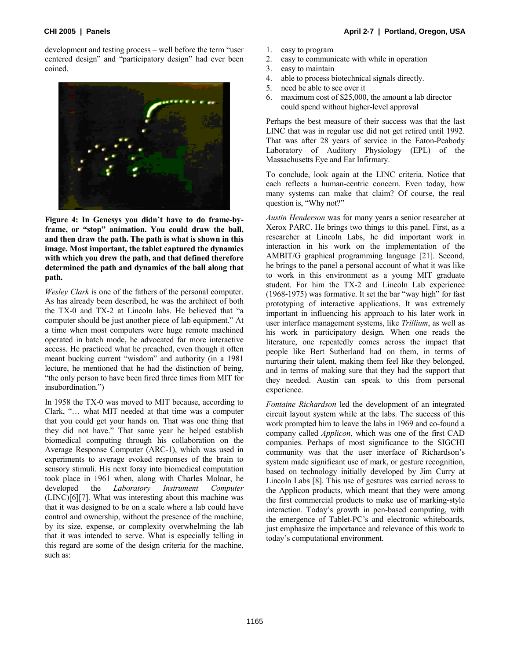development and testing process – well before the term "user centered design" and "participatory design" had ever been coined.



**Figure 4: In Genesys you didn't have to do frame-byframe, or "stop" animation. You could draw the ball, and then draw the path. The path is what is shown in this image. Most important, the tablet captured the dynamics with which you drew the path, and that defined therefore determined the path and dynamics of the ball along that path.** 

*Wesley Clark* is one of the fathers of the personal computer. As has already been described, he was the architect of both the TX-0 and TX-2 at Lincoln labs. He believed that "a computer should be just another piece of lab equipment." At a time when most computers were huge remote machined operated in batch mode, he advocated far more interactive access. He practiced what he preached, even though it often meant bucking current "wisdom" and authority (in a 1981 lecture, he mentioned that he had the distinction of being, "the only person to have been fired three times from MIT for insubordination.")

In 1958 the TX-0 was moved to MIT because, according to Clark, "… what MIT needed at that time was a computer that you could get your hands on. That was one thing that they did not have." That same year he helped establish biomedical computing through his collaboration on the Average Response Computer (ARC-1), which was used in experiments to average evoked responses of the brain to sensory stimuli. His next foray into biomedical computation took place in 1961 when, along with Charles Molnar, he developed the *Laboratory Instrument Computer*  (LINC)[6][7]. What was interesting about this machine was that it was designed to be on a scale where a lab could have control and ownership, without the presence of the machine, by its size, expense, or complexity overwhelming the lab that it was intended to serve. What is especially telling in this regard are some of the design criteria for the machine, such as:

- 1. easy to program
- 2. easy to communicate with while in operation
- 3. easy to maintain
- 4. able to process biotechnical signals directly.
- 5. need be able to see over it
- 6. maximum cost of \$25,000, the amount a lab director could spend without higher-level approval

Perhaps the best measure of their success was that the last LINC that was in regular use did not get retired until 1992. That was after 28 years of service in the Eaton-Peabody Laboratory of Auditory Physiology (EPL) of the Massachusetts Eye and Ear Infirmary.

To conclude, look again at the LINC criteria. Notice that each reflects a human-centric concern. Even today, how many systems can make that claim? Of course, the real question is, "Why not?"

*Austin Henderson* was for many years a senior researcher at Xerox PARC. He brings two things to this panel. First, as a researcher at Lincoln Labs, he did important work in interaction in his work on the implementation of the AMBIT/G graphical programming language [21]. Second, he brings to the panel a personal account of what it was like to work in this environment as a young MIT graduate student. For him the TX-2 and Lincoln Lab experience (1968-1975) was formative. It set the bar "way high" for fast prototyping of interactive applications. It was extremely important in influencing his approach to his later work in user interface management systems, like *Trillium*, as well as his work in participatory design. When one reads the literature, one repeatedly comes across the impact that people like Bert Sutherland had on them, in terms of nurturing their talent, making them feel like they belonged, and in terms of making sure that they had the support that they needed. Austin can speak to this from personal experience.

*Fontaine Richardson* led the development of an integrated circuit layout system while at the labs. The success of this work prompted him to leave the labs in 1969 and co-found a company called *Applicon*, which was one of the first CAD companies. Perhaps of most significance to the SIGCHI community was that the user interface of Richardson's system made significant use of mark, or gesture recognition, based on technology initially developed by Jim Curry at Lincoln Labs [8]. This use of gestures was carried across to the Applicon products, which meant that they were among the first commercial products to make use of marking-style interaction. Today's growth in pen-based computing, with the emergence of Tablet-PC's and electronic whiteboards, just emphasize the importance and relevance of this work to today's computational environment.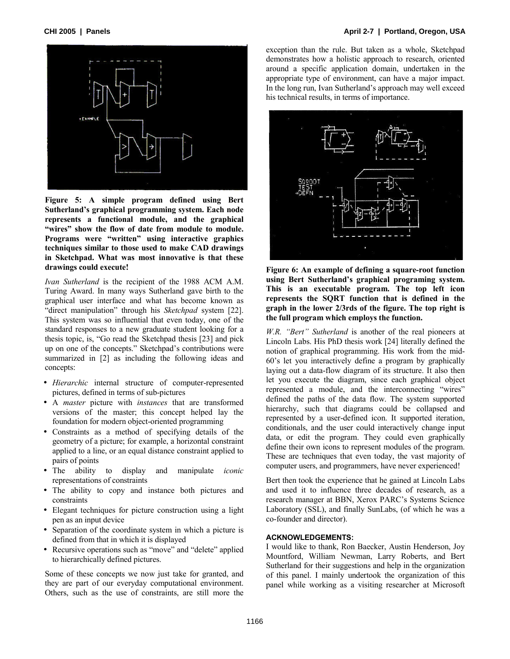

**Figure 5: A simple program defined using Bert Sutherland's graphical programming system. Each node represents a functional module, and the graphical "wires" show the flow of date from module to module. Programs were "written" using interactive graphics techniques similar to those used to make CAD drawings in Sketchpad. What was most innovative is that these drawings could execute!** 

*Ivan Sutherland* is the recipient of the 1988 ACM A.M. Turing Award. In many ways Sutherland gave birth to the graphical user interface and what has become known as "direct manipulation" through his *Sketchpad* system [22]. This system was so influential that even today, one of the standard responses to a new graduate student looking for a thesis topic, is, "Go read the Sketchpad thesis [23] and pick up on one of the concepts." Sketchpad's contributions were summarized in [2] as including the following ideas and concepts:

- *Hierarchic* internal structure of computer-represented pictures, defined in terms of sub-pictures
- A *master* picture with *instances* that are transformed versions of the master; this concept helped lay the foundation for modern object-oriented programming
- Constraints as a method of specifying details of the geometry of a picture; for example, a horizontal constraint applied to a line, or an equal distance constraint applied to pairs of points
- The ability to display and manipulate *iconic* representations of constraints
- The ability to copy and instance both pictures and constraints
- Elegant techniques for picture construction using a light pen as an input device
- Separation of the coordinate system in which a picture is defined from that in which it is displayed
- Recursive operations such as "move" and "delete" applied to hierarchically defined pictures.

Some of these concepts we now just take for granted, and they are part of our everyday computational environment. Others, such as the use of constraints, are still more the exception than the rule. But taken as a whole, Sketchpad demonstrates how a holistic approach to research, oriented around a specific application domain, undertaken in the appropriate type of environment, can have a major impact. In the long run, Ivan Sutherland's approach may well exceed his technical results, in terms of importance.



**Figure 6: An example of defining a square-root function using Bert Sutherland's graphical programing system. This is an executable program. The top left icon represents the SQRT function that is defined in the graph in the lower 2/3rds of the figure. The top right is the full program which employs the function.** 

*W.R. "Bert" Sutherland* is another of the real pioneers at Lincoln Labs. His PhD thesis work [24] literally defined the notion of graphical programming. His work from the mid-60's let you interactively define a program by graphically laying out a data-flow diagram of its structure. It also then let you execute the diagram, since each graphical object represented a module, and the interconnecting "wires" defined the paths of the data flow. The system supported hierarchy, such that diagrams could be collapsed and represented by a user-defined icon. It supported iteration, conditionals, and the user could interactively change input data, or edit the program. They could even graphically define their own icons to represent modules of the program. These are techniques that even today, the vast majority of computer users, and programmers, have never experienced!

Bert then took the experience that he gained at Lincoln Labs and used it to influence three decades of research, as a research manager at BBN, Xerox PARC's Systems Science Laboratory (SSL), and finally SunLabs, (of which he was a co-founder and director).

### **ACKNOWLEDGEMENTS:**

I would like to thank, Ron Baecker, Austin Henderson, Joy Mountford, William Newman, Larry Roberts, and Bert Sutherland for their suggestions and help in the organization of this panel. I mainly undertook the organization of this panel while working as a visiting researcher at Microsoft